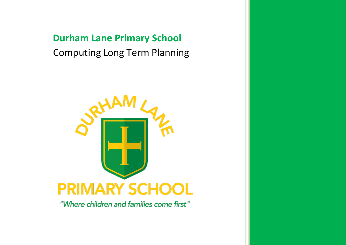# **Durham Lane Primary School** Computing Long Term Planning



"Where children and families come first"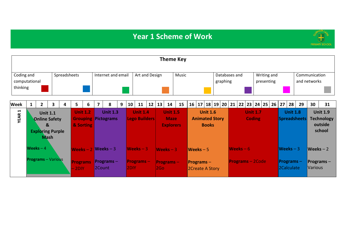## **Year 1 Scheme of Work**



|                                         |                                                                                                                   |                |  |                         |   |                              |                                       |                                               |      |                                  |                                         |                |                                |                                                    | <b>Theme Key</b>                                      |                       |                                 |                                       |               |                                  |                           |    |                                       |                 |                     |                                   |                                                           |
|-----------------------------------------|-------------------------------------------------------------------------------------------------------------------|----------------|--|-------------------------|---|------------------------------|---------------------------------------|-----------------------------------------------|------|----------------------------------|-----------------------------------------|----------------|--------------------------------|----------------------------------------------------|-------------------------------------------------------|-----------------------|---------------------------------|---------------------------------------|---------------|----------------------------------|---------------------------|----|---------------------------------------|-----------------|---------------------|-----------------------------------|-----------------------------------------------------------|
| Coding and<br>computational<br>thinking |                                                                                                                   |                |  | Spreadsheets            |   |                              |                                       | Internet and email                            |      |                                  |                                         | Art and Design |                                |                                                    | Music                                                 |                       |                                 | graphing                              | Databases and |                                  | Writing and<br>presenting |    |                                       |                 | and networks        | Communication                     |                                                           |
| <b>Week</b>                             |                                                                                                                   | $\overline{2}$ |  | 4                       | 5 | 6                            | $\overline{7}$                        | 8                                             | 9    | 10 <sub>1</sub>                  | 11                                      | 12             | 13                             | 14                                                 | 15                                                    | 16 17                 |                                 | 18   19   20                          | 22<br>21      |                                  | 23   24   25              | 26 | 27                                    | 28              | 29                  | 30                                | 31                                                        |
| $\blacksquare$<br><b>YEAR</b>           | $\overline{\mathbf{3}}$<br><b>Unit 1.1</b><br><b>Online Safety</b><br>&<br><b>Exploring Purple</b><br><b>Mash</b> |                |  |                         |   | <b>Unit 1.2</b><br>& Sorting |                                       | <b>Unit 1.3</b><br><b>Grouping Pictograms</b> |      |                                  | <b>Unit 1.4</b><br><b>Lego Builders</b> |                |                                | <b>Unit 1.5</b><br><b>Maze</b><br><b>Explorers</b> |                                                       | <b>Animated Story</b> | <b>Unit 1.6</b><br><b>Books</b> |                                       |               | <b>Unit 1.7</b><br><b>Coding</b> |                           |    |                                       | <b>Unit 1.8</b> | <b>Spreadsheets</b> |                                   | <b>Unit 1.9</b><br><b>Technology</b><br>outside<br>school |
|                                         | Weeks $-4$<br><b>Programs</b> - Various                                                                           |                |  | <b>Programs</b><br>2DIY |   | 2Count                       | Weeks $-2$ Weeks $-3$<br>Programs $-$ |                                               | 2DIY | $Weeks - 3$<br><b>Programs</b> – |                                         | 2Go            | Weeks $-3$<br><b>Programs-</b> |                                                    | $Weeks - 5$<br>$Programs -$<br><b>2Create A Story</b> |                       |                                 | Weeks $-6$<br><b>Programs</b> – 2Code |               |                                  |                           |    | Weeks $-3$<br>Programs-<br>2Calculate |                 | <b>Various</b>      | Weeks $-2$<br><b>Programs</b> $-$ |                                                           |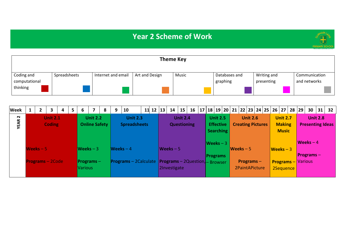## **Year 2 Scheme of Work**



|                             |              |                    |                | <b>Theme Key</b> |                           |                           |                               |
|-----------------------------|--------------|--------------------|----------------|------------------|---------------------------|---------------------------|-------------------------------|
| Coding and<br>computational | Spreadsheets | Internet and email | Art and Design | Music            | Databases and<br>graphing | Writing and<br>presenting | Communication<br>and networks |
| thinking                    |              |                    |                |                  |                           |                           |                               |

| <b>Week</b> | $\mathbf{2}$ |                         | 4 | 5 | 6       |                      | 8 | 9 | 10                                                      | $11$ 12 13 | 14                  | 15                 | 16 |                 |                  | <sup> </sup> 17   18   19   20   21   22   23   24   25   26   27   28 <i> </i> 29 |                 |  |                           |  |                         | $30 \mid 31 \mid$ | 32 |
|-------------|--------------|-------------------------|---|---|---------|----------------------|---|---|---------------------------------------------------------|------------|---------------------|--------------------|----|-----------------|------------------|------------------------------------------------------------------------------------|-----------------|--|---------------------------|--|-------------------------|-------------------|----|
| $\sim$      |              | <b>Unit 2.1</b>         |   |   |         | <b>Unit 2.2</b>      |   |   | <b>Unit 2.3</b>                                         |            |                     | <b>Unit 2.4</b>    |    |                 | <b>Unit 2.5</b>  |                                                                                    | <b>Unit 2.6</b> |  | <b>Unit 2.7</b>           |  |                         | <b>Unit 2.8</b>   |    |
| <b>YEAR</b> |              | <b>Coding</b>           |   |   |         | <b>Online Safety</b> |   |   | <b>Spreadsheets</b>                                     |            |                     | <b>Questioning</b> |    |                 | <b>Effective</b> | <b>Creating Pictures</b>                                                           |                 |  | <b>Making</b>             |  | <b>Presenting Ideas</b> |                   |    |
|             |              |                         |   |   |         |                      |   |   |                                                         |            |                     |                    |    |                 | Searching        |                                                                                    |                 |  | <b>Music</b>              |  |                         |                   |    |
|             |              |                         |   |   |         |                      |   |   |                                                         |            |                     |                    |    |                 | $Weeks - 3$      |                                                                                    |                 |  |                           |  | $Weeks - 4$             |                   |    |
|             | $Weeks - 5$  |                         |   |   |         | $Weeks - 3$          |   |   | $Weeks - 4$                                             |            | $\sqrt{$ Weeks $-5$ |                    |    |                 |                  | $Weeks - 5$                                                                        |                 |  | $Weeks - 3$               |  |                         |                   |    |
|             |              |                         |   |   |         |                      |   |   |                                                         |            |                     |                    |    | <b>Programs</b> |                  |                                                                                    |                 |  |                           |  | <b>Programs</b> –       |                   |    |
|             |              | <b>Programs</b> - 2Code |   |   |         | <b>Programs</b> $-$  |   |   | Programs - 2Calculate   Programs - 2Question, - Browser |            |                     |                    |    |                 |                  | Programs $-$                                                                       |                 |  | <b>Programs</b> - Various |  |                         |                   |    |
|             |              |                         |   |   | Various |                      |   |   |                                                         |            | 2Investigate        |                    |    |                 |                  | 2PaintAPicture                                                                     |                 |  | 2Sequence                 |  |                         |                   |    |
|             |              |                         |   |   |         |                      |   |   |                                                         |            |                     |                    |    |                 |                  |                                                                                    |                 |  |                           |  |                         |                   |    |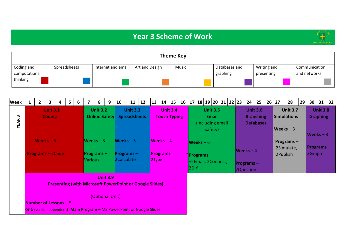## **Year 3 Scheme of Work**



|                             |              |                    |                | <b>Theme Key</b> |                           |                           |                               |
|-----------------------------|--------------|--------------------|----------------|------------------|---------------------------|---------------------------|-------------------------------|
| Coding and<br>computational | Spreadsheets | Internet and email | Art and Design | Music            | Databases and<br>graphing | Writing and<br>presenting | Communication<br>and networks |
| thinking                    |              |                    |                |                  |                           |                           |                               |

| <b>Week</b>      | $\overline{2}$          | 3                                | 4 | 5 <sup>1</sup> | 6 | $\overline{7}$                              | 8               | 9                                  | 10                                                                                                                                       | 11                                     | 12 | 13    | 14                             | 15              | 16 |      |                                | 17   18   19   20   21   22   23                               |  | 24                                            | 25                                                      | 26 | 27       | 28                                                   | 29 | 30                         | 31                                 | 32 |
|------------------|-------------------------|----------------------------------|---|----------------|---|---------------------------------------------|-----------------|------------------------------------|------------------------------------------------------------------------------------------------------------------------------------------|----------------------------------------|----|-------|--------------------------------|-----------------|----|------|--------------------------------|----------------------------------------------------------------|--|-----------------------------------------------|---------------------------------------------------------|----|----------|------------------------------------------------------|----|----------------------------|------------------------------------|----|
| w<br><b>YEAR</b> |                         | <b>Unit 3.1</b><br><b>Coding</b> |   |                |   |                                             | <b>Unit 3.2</b> | <b>Online Safety</b>               |                                                                                                                                          | <b>Unit 3.3</b><br><b>Spreadsheets</b> |    |       | <b>Touch Typing</b>            | <b>Unit 3.4</b> |    |      |                                | <b>Unit 3.5</b><br><b>Email</b><br>(including email<br>safety) |  |                                               | <b>Unit 3.6</b><br><b>Branching</b><br><b>Databases</b> |    |          | <b>Unit 3.7</b><br><b>Simulations</b><br>$Weeks - 3$ |    | $Weeks - 3$                | <b>Unit 3.8</b><br><b>Graphing</b> |    |
|                  | <b>Programs - 2Code</b> | Weeks $-6$                       |   |                |   | $Weeks - 3$<br><b>Programs</b> –<br>Various |                 |                                    | Weeks $-3$<br>$Programs -$<br>2Calculate                                                                                                 |                                        |    | 2Type | $Weeks - 4$<br><b>Programs</b> |                 |    | 2DIY | $Weeks - 6$<br><b>Programs</b> | -2Email, 2Connect,                                             |  | $Weeks - 4$<br><b>Programs</b> –<br>2Question |                                                         |    | 2Publish | Programs $-$<br>2Simulate,                           |    | $ $ Programs $-$<br>2Graph |                                    |    |
|                  | Number of Lessons $-5$  |                                  |   |                |   |                                             |                 | <b>Unit 3.9</b><br>(Optional Unit) | <b>Presenting (with Microsoft PowerPoint or Google Slides)</b><br>or 6 (version dependent) Main Program – MS PowerPoint or Google Slides |                                        |    |       |                                |                 |    |      |                                |                                                                |  |                                               |                                                         |    |          |                                                      |    |                            |                                    |    |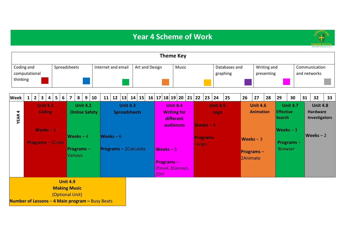## **Year 4 Scheme of Work**



|                  |                                                                                                                                                                                                             |            |  |  |  |  |  |    |    |                                        |    |    |       | <b>Theme Key</b>  |                                                                 |  |                           |                         |    |                           |                                     |    |                            |                                |    |                                                     |    |
|------------------|-------------------------------------------------------------------------------------------------------------------------------------------------------------------------------------------------------------|------------|--|--|--|--|--|----|----|----------------------------------------|----|----|-------|-------------------|-----------------------------------------------------------------|--|---------------------------|-------------------------|----|---------------------------|-------------------------------------|----|----------------------------|--------------------------------|----|-----------------------------------------------------|----|
| thinking         | Coding and<br>Spreadsheets<br>Internet and email<br>computational<br>5<br>$\overline{2}$<br>3<br>8<br>10<br>6<br>9<br>4<br>7<br><b>Unit 4.1</b><br><b>Unit 4.2</b><br><b>Coding</b><br><b>Online Safety</b> |            |  |  |  |  |  |    |    | Art and Design                         |    |    | Music |                   |                                                                 |  | Databases and<br>graphing |                         |    | Writing and<br>presenting |                                     |    |                            | Communication<br>and networks  |    |                                                     |    |
| <b>Week</b>      |                                                                                                                                                                                                             |            |  |  |  |  |  | 11 | 12 | 13                                     | 14 | 15 | 16    | 17 18 19 20 21 22 |                                                                 |  | 23                        | 24                      | 25 | 26                        | 27                                  | 28 | 29                         | 30                             | 31 | 32                                                  | 33 |
| 4<br><b>YEAR</b> |                                                                                                                                                                                                             | Weeks $-6$ |  |  |  |  |  |    |    | <b>Unit 4.3</b><br><b>Spreadsheets</b> |    |    |       |                   | <b>Unit 4.4</b><br><b>Writing for</b><br>different<br>audiences |  | $Weeks - 4$               | <b>Unit 4.5</b><br>Logo |    |                           | <b>Unit 4.6</b><br><b>Animation</b> |    | Effective<br><b>Search</b> | <b>Unit 4.7</b><br>$Weeks - 3$ |    | <b>Unit 4.8</b><br><b>Hardware</b><br>Investigators |    |

| Weeks $-6$              |                                        |                         | audiences                                                                  | IWeeks $-4$                |                                 | $Weeks - 3$      |             |
|-------------------------|----------------------------------------|-------------------------|----------------------------------------------------------------------------|----------------------------|---------------------------------|------------------|-------------|
| <b>Programs - 2Code</b> | $Weeks - 4$                            | Weeks $-6$              |                                                                            | <b>Programs</b><br>$-Logo$ | $Weeks - 3$                     | $ $ Programs $-$ | $Weeks - 2$ |
|                         | <b>Programs</b> –<br><b>Various</b>    | $Programs - 2Calculate$ | $\sqrt{\text{Weeks}} - 5$<br><b>Programs-</b><br>2Email, 2Connect,<br>2DIY |                            | <b>Programs</b> $-$<br>2Animate | <b>Browser</b>   |             |
|                         | <b>Unit 4.9</b><br><b>Making Music</b> |                         |                                                                            |                            |                                 |                  |             |

(Optional Unit)

**Number of Lessons** – **4 Main program –** Busy Beats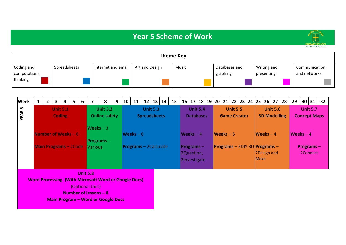### **Year 5 Scheme of Work**



|                             |              |                    |                | <b>Theme Key</b> |                           |                           |                               |
|-----------------------------|--------------|--------------------|----------------|------------------|---------------------------|---------------------------|-------------------------------|
| Coding and<br>computational | Spreadsheets | Internet and email | Art and Design | Music            | Databases and<br>graphing | Writing and<br>presenting | Communication<br>and networks |
| thinking                    |              |                    |                |                  |                           |                           |                               |

| <b>Week</b>       | $\mathbf{1}$ | $\overline{2}$ | 3 | $\overline{4}$                   | 5 | 6               | 7                                         | 8                                                                                                        | 9 | $\vert$ 10 $\vert$ | 11                      |                     |                 | $12 \mid 13 \mid 14 \mid$ | 15 |  | 16   17   18   19   20   21   22   23   24   25   26   27   28 |  |                     |                 |  |             |                                                | 29         | 30   31                         |                 | 32 <sub>2</sub> |
|-------------------|--------------|----------------|---|----------------------------------|---|-----------------|-------------------------------------------|----------------------------------------------------------------------------------------------------------|---|--------------------|-------------------------|---------------------|-----------------|---------------------------|----|--|----------------------------------------------------------------|--|---------------------|-----------------|--|-------------|------------------------------------------------|------------|---------------------------------|-----------------|-----------------|
| n,<br><b>YEAR</b> |              |                |   | <b>Unit 5.1</b><br><b>Coding</b> |   |                 |                                           | <b>Unit 5.2</b><br><b>Online safety</b>                                                                  |   |                    |                         | <b>Spreadsheets</b> | <b>Unit 5.3</b> |                           |    |  | <b>Unit 5.4</b><br><b>Databases</b>                            |  | <b>Game Creator</b> | <b>Unit 5.5</b> |  |             | <b>Unit 5.6</b><br><b>3D Modelling</b>         |            | <b>Concept Maps</b>             | <b>Unit 5.7</b> |                 |
|                   |              |                |   | Number of Weeks $-6$             |   |                 |                                           | $Weeks - 3$<br><b>Programs</b> -                                                                         |   |                    | $Weeks - 6$             |                     |                 |                           |    |  | Weeks $-4$                                                     |  | $Weeks - 5$         |                 |  | $Weeks - 4$ |                                                | Weeks $-4$ |                                 |                 |                 |
|                   |              |                |   | <b>Main Programs - 2Code</b>     |   |                 | <b>Various</b>                            |                                                                                                          |   |                    | $Programs - 2Calculate$ |                     |                 |                           |    |  | $ $ Programs $-$<br>2Question,<br>2Investigate                 |  |                     |                 |  | Make        | $Programs - 2DIY 3D Programs -$<br>2Design and |            | <b>Programs</b> $-$<br>2Connect |                 |                 |
|                   |              |                |   |                                  |   | <b>Unit 5.8</b> | (Optional Unit)<br>Number of lessons $-8$ | <b>Word Processing (With Microsoft Word or Google Docs)</b><br><b>Main Program - Word or Google Docs</b> |   |                    |                         |                     |                 |                           |    |  |                                                                |  |                     |                 |  |             |                                                |            |                                 |                 |                 |